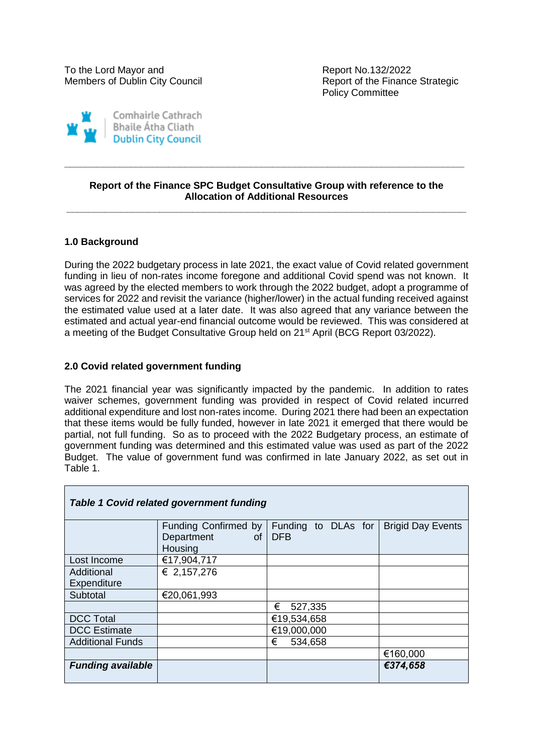Policy Committee



#### **Report of the Finance SPC Budget Consultative Group with reference to the Allocation of Additional Resources \_\_\_\_\_\_\_\_\_\_\_\_\_\_\_\_\_\_\_\_\_\_\_\_\_\_\_\_\_\_\_\_\_\_\_\_\_\_\_\_\_\_\_\_\_\_\_\_\_\_\_\_\_\_\_\_\_\_\_\_\_\_\_\_\_\_\_\_\_\_\_\_\_**

**\_\_\_\_\_\_\_\_\_\_\_\_\_\_\_\_\_\_\_\_\_\_\_\_\_\_\_\_\_\_\_\_\_\_\_\_\_\_\_\_\_\_\_\_\_\_\_\_\_\_\_\_\_\_\_\_\_\_\_\_\_\_\_\_\_\_\_\_\_\_\_\_\_**

# **1.0 Background**

During the 2022 budgetary process in late 2021, the exact value of Covid related government funding in lieu of non-rates income foregone and additional Covid spend was not known. It was agreed by the elected members to work through the 2022 budget, adopt a programme of services for 2022 and revisit the variance (higher/lower) in the actual funding received against the estimated value used at a later date. It was also agreed that any variance between the estimated and actual year-end financial outcome would be reviewed. This was considered at a meeting of the Budget Consultative Group held on 21<sup>st</sup> April (BCG Report 03/2022).

### **2.0 Covid related government funding**

The 2021 financial year was significantly impacted by the pandemic. In addition to rates waiver schemes, government funding was provided in respect of Covid related incurred additional expenditure and lost non-rates income. During 2021 there had been an expectation that these items would be fully funded, however in late 2021 it emerged that there would be partial, not full funding. So as to proceed with the 2022 Budgetary process, an estimate of government funding was determined and this estimated value was used as part of the 2022 Budget. The value of government fund was confirmed in late January 2022, as set out in Table 1.

| <b>Table 1 Covid related government funding</b> |                      |                     |                          |
|-------------------------------------------------|----------------------|---------------------|--------------------------|
|                                                 | Funding Confirmed by | Funding to DLAs for | <b>Brigid Day Events</b> |
|                                                 | Department           | of   DFB            |                          |
|                                                 | Housing              |                     |                          |
| Lost Income                                     | €17,904,717          |                     |                          |
| Additional                                      | € 2,157,276          |                     |                          |
| Expenditure                                     |                      |                     |                          |
| Subtotal                                        | €20,061,993          |                     |                          |
|                                                 |                      | €<br>527,335        |                          |
| <b>DCC Total</b>                                |                      | €19,534,658         |                          |
| <b>DCC</b> Estimate                             |                      | €19,000,000         |                          |
| <b>Additional Funds</b>                         |                      | €<br>534,658        |                          |
|                                                 |                      |                     | €160,000                 |
| <b>Funding available</b>                        |                      |                     | €374,658                 |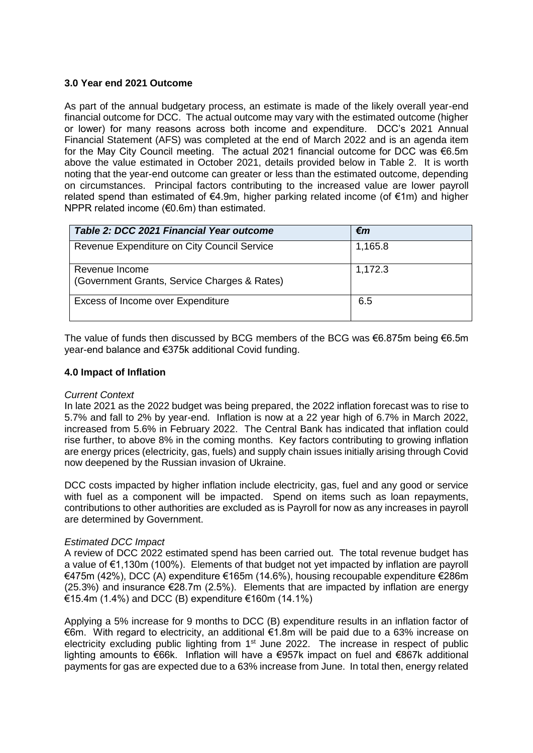# **3.0 Year end 2021 Outcome**

As part of the annual budgetary process, an estimate is made of the likely overall year-end financial outcome for DCC. The actual outcome may vary with the estimated outcome (higher or lower) for many reasons across both income and expenditure. DCC's 2021 Annual Financial Statement (AFS) was completed at the end of March 2022 and is an agenda item for the May City Council meeting. The actual 2021 financial outcome for DCC was €6.5m above the value estimated in October 2021, details provided below in Table 2. It is worth noting that the year-end outcome can greater or less than the estimated outcome, depending on circumstances. Principal factors contributing to the increased value are lower payroll related spend than estimated of €4.9m, higher parking related income (of €1m) and higher NPPR related income (€0.6m) than estimated.

| Table 2: DCC 2021 Financial Year outcome                       | €m      |
|----------------------------------------------------------------|---------|
| Revenue Expenditure on City Council Service                    | 1,165.8 |
| Revenue Income<br>(Government Grants, Service Charges & Rates) | 1,172.3 |
| Excess of Income over Expenditure                              | 6.5     |

The value of funds then discussed by BCG members of the BCG was €6.875m being €6.5m year-end balance and €375k additional Covid funding.

### **4.0 Impact of Inflation**

#### *Current Context*

In late 2021 as the 2022 budget was being prepared, the 2022 inflation forecast was to rise to 5.7% and fall to 2% by year-end. Inflation is now at a 22 year high of 6.7% in March 2022, increased from 5.6% in February 2022. The Central Bank has indicated that inflation could rise further, to above 8% in the coming months. Key factors contributing to growing inflation are energy prices (electricity, gas, fuels) and supply chain issues initially arising through Covid now deepened by the Russian invasion of Ukraine.

DCC costs impacted by higher inflation include electricity, gas, fuel and any good or service with fuel as a component will be impacted. Spend on items such as loan repayments, contributions to other authorities are excluded as is Payroll for now as any increases in payroll are determined by Government.

# *Estimated DCC Impact*

A review of DCC 2022 estimated spend has been carried out. The total revenue budget has a value of €1,130m (100%). Elements of that budget not yet impacted by inflation are payroll €475m (42%), DCC (A) expenditure €165m (14.6%), housing recoupable expenditure €286m (25.3%) and insurance  $\epsilon$ 28.7m (2.5%). Elements that are impacted by inflation are energy €15.4m (1.4%) and DCC (B) expenditure €160m (14.1%)

Applying a 5% increase for 9 months to DCC (B) expenditure results in an inflation factor of €6m. With regard to electricity, an additional €1.8m will be paid due to a 63% increase on electricity excluding public lighting from 1<sup>st</sup> June 2022. The increase in respect of public lighting amounts to €66k. Inflation will have a €957k impact on fuel and €867k additional payments for gas are expected due to a 63% increase from June. In total then, energy related